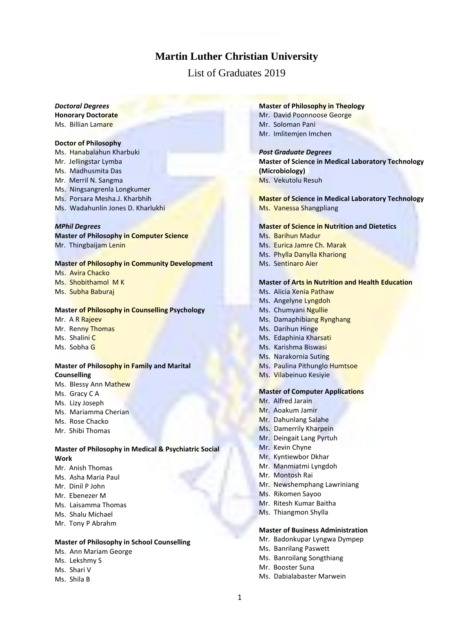# **Martin Luther Christian University**

# List of Graduates 2019

# *Doctoral Degrees*

**Honorary Doctorate** Ms. Billian Lamare

#### **Doctor of Philosophy**

Ms. Hanabalahun Kharbuki Mr. Jellingstar Lymba Ms. Madhusmita Das Mr. Merril N. Sangma Ms. Ningsangrenla Longkumer Ms. Porsara Mesha.J. Kharbhih Ms. Wadahunlin Jones D. Kharlukhi

#### *MPhil Degrees*

**Master of Philosophy in Computer Science** Mr. Thingbaijam Lenin

# **Master of Philosophy in Community Development**

Ms. Avira Chacko Ms. Shobithamol M K Ms. Subha Baburaj

# **Master of Philosophy in Counselling Psychology**

Mr. A R Rajeev Mr. Renny Thomas Ms. Shalini C Ms. Sobha G

# **Master of Philosophy in Family and Marital Counselling**

- Ms. Blessy Ann Mathew Ms. Gracy C A
- Ms. Lizy Joseph
- Ms. Mariamma Cherian
- Ms. Rose Chacko
- Mr. Shibi Thomas

# **Master of Philosophy in Medical & Psychiatric Social Work**

- Mr. Anish Thomas
- Ms. Asha Maria Paul
- Mr. Dinil P John
- Mr. Ebenezer M
- Ms. Laisamma Thomas
- Ms. Shalu Michael
- Mr. Tony P Abrahm

# **Master of Philosophy in School Counselling**

- Ms. Ann Mariam George
- Ms. Lekshmy S
- Ms. Shari V
- Ms. Shila B

## **Master of Philosophy in Theology**

- Mr. David Poonnoose George Mr. Soloman Pani
- Mr. Imlitemjen Imchen

#### *Post Graduate Degrees*

**Master of Science in Medical Laboratory Technology (Microbiology)** Ms. Vekutolu Resuh

**Master of Science in Medical Laboratory Technology** Ms. Vanessa Shangpliang

#### **Master of Science in Nutrition and Dietetics**

- Ms. Barihun Madur
- Ms. Eurica Jamre Ch. Marak
- Ms. Phylla Danylla Khariong
- Ms. Sentinaro Aier

# **Master of Arts in Nutrition and Health Education**

- Ms. Alicia Xenia Pathaw
- Ms. Angelyne Lyngdoh
- Ms. Chumyani Ngullie
- Ms. Damaphibiang Rynghang
- Ms. Darihun Hinge
- Ms. Edaphinia Kharsati
- Ms. Karishma Biswasi
- Ms. Narakornia Suting
- Ms. Paulina Pithunglo Humtsoe
- Ms. Vilabeinuo Kesiyie

#### **Master of Computer Applications**

- Mr. Alfred Jarain
- Mr. Aoakum Jamir
- Mr. Dahunlang Salahe
- Ms. Damerrily Kharpein
- Mr. Deingait Lang Pyrtuh
- Mr. Kevin Chyne
- Mr. Kyntiewbor Dkhar
- Mr. Manmiatmi Lyngdoh
- Mr. Montosh Rai
- Mr. Newshemphang Lawriniang
- Ms. Rikomen Sayoo
- Mr. Ritesh Kumar Baitha
- Ms. Thiangmon Shylla

# **Master of Business Administration**

- Mr. Badonkupar Lyngwa Dympep
- Ms. Banrilang Paswett
- Ms. Banroilang Songthiang
- Mr. Booster Suna
- Ms. Dabialabaster Marwein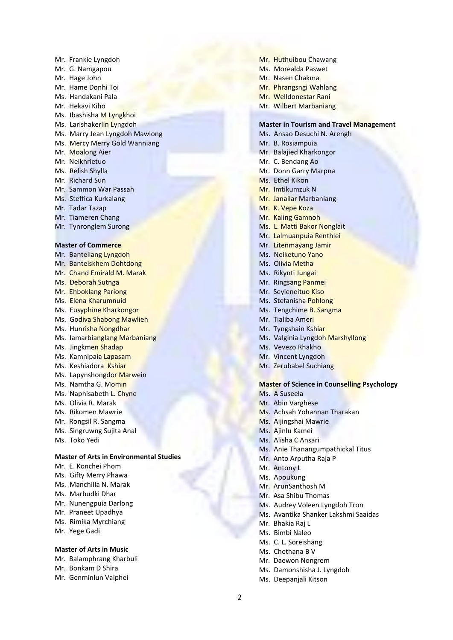Mr. Frankie Lyngdoh Mr. G. Namgapou Mr. Hage John Mr. Hame Donhi Toi Ms. Handakani Pala Mr. Hekavi Kiho Ms. Ibashisha M Lyngkhoi Ms. Larishakerlin Lyngdoh Ms. Marry Jean Lyngdoh Mawlong Ms. Mercy Merry Gold Wanniang Mr. Moalong Aier Mr. Neikhrietuo Ms. Relish Shylla Mr. Richard Sun Mr. Sammon War Passah Ms. Steffica Kurkalang Mr. Tadar Tazap Mr. Tiameren Chang Mr. Tynronglem Surong

#### **Master of Commerce**

Mr. Banteilang Lyngdoh Mr. Banteiskhem Dohtdong Mr. Chand Emirald M. Marak Ms. Deborah Sutnga Mr. Ehboklang Pariong Ms. Elena Kharumnuid Ms. Eusyphine Kharkongor Ms. Godiva Shabong Mawlieh Ms. Hunrisha Nongdhar Ms. Iamarbianglang Marbaniang Ms. Jingkmen Shadap Ms. Kamnipaia Lapasam Ms. Keshiadora Kshiar Ms. Lapynshongdor Marwein Ms. Namtha G. Momin Ms. Naphisabeth L. Chyne Ms. Olivia R. Marak Ms. Rikomen Mawrie Mr. Rongsil R. Sangma Ms. Singruwng Sujita Anal Ms. Toko Yedi **Master of Arts in Environmental Studies**

- Mr. E. Konchei Phom
- Ms. Gifty Merry Phawa
- Ms. Manchilla N. Marak
- Ms. Marbudki Dhar
- Mr. Nunengpuia Darlong
- Mr. Praneet Upadhya
- Ms. Rimika Myrchiang
- Mr. Yege Gadi

# **Master of Arts in Music**

- Mr. Balamphrang Kharbuli
- Mr. Bonkam D Shira
- Mr. Genminlun Vaiphei
- Mr. Huthuibou Chawang
- Ms. Morealda Paswet
- Mr. Nasen Chakma
- Mr. Phrangsngi Wahlang
- Mr. Welldonestar Rani
- Mr. Wilbert Marbaniang

# **Master in Tourism and Travel Management**

- Ms. Ansao Desuchi N. Arengh Mr. B. Rosiampuia Mr. Balajied Kharkongor Mr. C. Bendang Ao Mr. Donn Garry Marpna Ms. Ethel Kikon Mr. Imtikumzuk N Mr. Janailar Marbaniang Mr. K. Vepe Koza Mr. Kaling Gamnoh Ms. L. Matti Bakor Nonglait Mr. Lalmuanpuia Renthlei Mr. Litenmayang Jamir Ms. Neiketuno Yano Ms. Olivia Metha Ms. Rikynti Jungai Mr. Ringsang Panmei Mr. Seyieneituo Kiso Ms. Stefanisha Pohlong Ms. Tengchime B. Sangma Mr. Tialiba Ameri Mr. Tyngshain Kshiar
- Ms. Valginia Lyngdoh Marshyllong
- Ms. Vevezo Rhakho
- Mr. Vincent Lyngdoh
- Mr. Zerubabel Suchiang

# **Master of Science in Counselling Psychology**

- Ms. A Suseela
- Mr. Abin Varghese
- Ms. Achsah Yohannan Tharakan
- Ms. Aijingshai Mawrie
- Ms. Ajinlu Kamei
- Ms. Alisha C Ansari
- Ms. Anie Thanangumpathickal Titus
- Mr. Anto Arputha Raja P
- Mr. Antony L
- Ms. Apoukung
- Mr. ArunSanthosh M
- Mr. Asa Shibu Thomas
- Ms. Audrey Voleen Lyngdoh Tron
- Ms. Avantika Shanker Lakshmi Saaidas
- Mr. Bhakia Raj L
- Ms. Bimbi Naleo
- Ms. C. L. Soreishang
- Ms. Chethana B V
- Mr. Daewon Nongrem
- Ms. Damonshisha J. Lyngdoh
- Ms. Deepanjali Kitson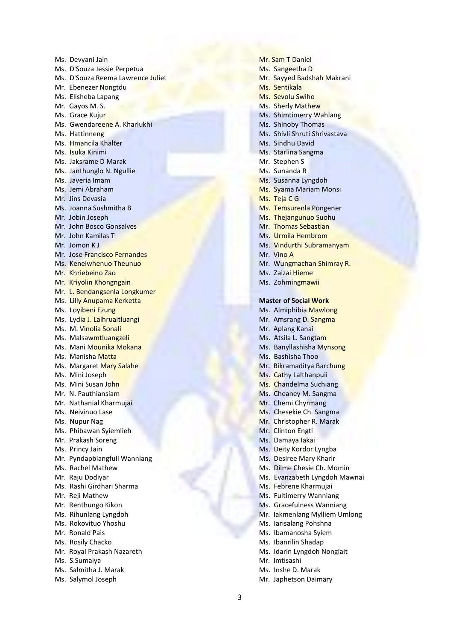Ms. Devyani Jain Ms. D'Souza Jessie Perpetua Ms. D'Souza Reema Lawrence Juliet Mr. Ebenezer Nongtdu Ms. Elisheba Lapang Mr. Gayos M. S. Ms. Grace Kujur Ms. Gwendareene A. Kharlukhi Ms. Hattinneng Ms. Hmancila Khalter Ms. Isuka Kinimi Ms. Jaksrame D Marak Ms. Janthunglo N. Ngullie Ms. Javeria Imam Ms. Jemi Abraham Mr. Jins Devasia Ms. Joanna Sushmitha B Mr. Jobin Joseph Mr. John Bosco Gonsalves Mr. John Kamilas T Mr. Jomon K J Mr. Jose Francisco Fernandes Ms. Keneiwhenuo Theunuo Mr. Khriebeino Zao Mr. Kriyolin Khongngain Mr. L. Bendangsenla Longkumer Ms. Lilly Anupama Kerketta Ms. Loyibeni Ezung Ms. Lydia J. Lalhruaitluangi Ms. M. Vinolia Sonali Ms. Malsawmtluangzeli Ms. Mani Mounika Mokana Ms. Manisha Matta Ms. Margaret Mary Salahe Ms. Mini Joseph Ms. Mini Susan John Mr. N. Pauthiansiam Mr. Nathanial Kharmujai Ms. Neivinuo Lase Ms. Nupur Nag Ms. Phibawan Syiemlieh Mr. Prakash Soreng Ms. Princy Jain Mr. Pyndapbiangfull Wanniang Ms. Rachel Mathew Mr. Raju Dodiyar Ms. Rashi Girdhari Sharma Mr. Reji Mathew Mr. Renthungo Kikon Ms. Rihunlang Lyngdoh Ms. Rokovituo Yhoshu Mr. Ronald Pais Ms. Rosily Chacko Mr. Royal Prakash Nazareth Ms. S.Sumaiya Ms. Salmitha J. Marak

Ms. Salymol Joseph

Mr. Sam T Daniel Ms. Sangeetha D Mr. Sayyed Badshah Makrani Ms. Sentikala Ms. Sevolu Swiho Ms. Sherly Mathew Ms. Shimtimerry Wahlang Ms. Shinoby Thomas Ms. Shivli Shruti Shrivastava Ms. Sindhu David Ms. Starlina Sangma Mr. Stephen S Ms. Sunanda R Ms. Susanna Lyngdoh Ms. Syama Mariam Monsi Ms. Teja C G Ms. Temsurenla Pongener Ms. Thejangunuo Suohu Mr. Thomas Sebastian Ms. Urmila Hembrom Ms. Vindurthi Subramanyam Mr. Vino A Mr. Wungmachan Shimray R. Ms. Zaizai Hieme Ms. Zohmingmawii **Master of Social Work** Ms. Almiphibia Mawlong

- 
- Mr. Amsrang D. Sangma
- Mr. Aplang Kanai
- Ms. Atsila L. Sangtam
- Ms. Banyllashisha Mynsong
- Ms. Bashisha Thoo
- Mr. Bikramaditya Barchung
- Ms. Cathy Lalthanpuii
- Ms. Chandelma Suchiang
- Ms. Cheaney M. Sangma
- Mr. Chemi Chyrmang
- Ms. Chesekie Ch. Sangma
- Mr. Christopher R. Marak
- Mr. Clinton Engti
- Ms. Damaya Iakai
- Ms. Deity Kordor Lyngba
- Ms. Desiree Mary Kharir
- Ms. Dilme Chesie Ch. Momin
- Ms. Evanzabeth Lyngdoh Mawnai
- Ms. Febrene Kharmujai
- Ms. Fultimerry Wanniang
- Ms. Gracefulness Wanniang
- Mr. Iakmenlang Mylliem Umlong
- Ms. Iarisalang Pohshna
- Ms. Ibamanosha Syiem
- Ms. Ibanrilin Shadap
- Ms. Idarin Lyngdoh Nonglait
- Mr. Imtisashi
- Ms. Inshe D. Marak
- Mr. Japhetson Daimary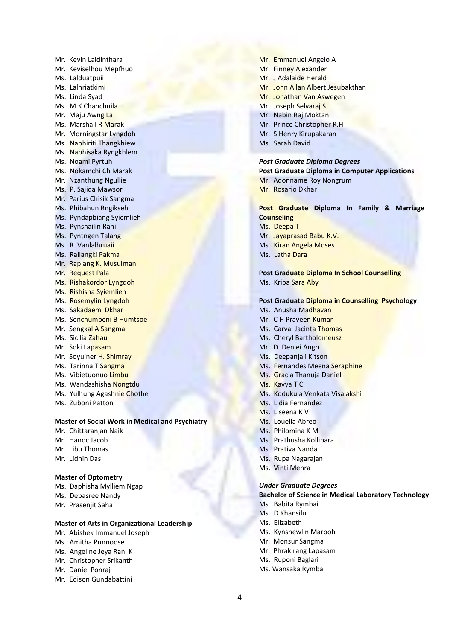Mr. Kevin Laldinthara Mr. Keviselhou Mepfhuo Ms. Lalduatpuii Ms. Lalhriatkimi Ms. Linda Syad Ms. M.K Chanchuila Mr. Maju Awng La Ms. Marshall R Marak Mr. Morningstar Lyngdoh Ms. Naphiriti Thangkhiew Ms. Naphisaka Ryngkhlem Ms. Noami Pyrtuh Ms. Nokamchi Ch Marak Mr. Nzanthung Ngullie Ms. P. Sajida Mawsor Mr. Parius Chisik Sangma Ms. Phibahun Rngikseh Ms. Pyndapbiang Syiemlieh Ms. Pynshailin Rani Ms. Pyntngen Talang Ms. R. Vanlalhruaii Ms. Railangki Pakma Mr. Raplang K. Musulman Mr. Request Pala Ms. Rishakordor Lyngdoh Ms. Rishisha Syiemlieh Ms. Rosemylin Lyngdoh Ms. Sakadaemi Dkhar Ms. Senchumbeni B Humtsoe Mr. Sengkal A Sangma Ms. Sicilia Zahau Mr. Soki Lapasam Mr. Soyuiner H. Shimray Ms. Tarinna T Sangma Ms. Vibietuonuo Limbu Ms. Wandashisha Nongtdu Ms. Yulhung Agashnie Chothe

Ms. Zuboni Patton

#### **Master of Social Work in Medical and Psychiatry**

Mr. Chittaranjan Naik Mr. Hanoc Jacob Mr. Libu Thomas Mr. Lidhin Das

#### **Master of Optometry**

- Ms. Daphisha Mylliem Ngap
- Ms. Debasree Nandy
- Mr. Prasenjit Saha

# **Master of Arts in Organizational Leadership**

- Mr. Abishek Immanuel Joseph
- Ms. Amitha Punnoose
- Ms. Angeline Jeya Rani K
- Mr. Christopher Srikanth
- Mr. Daniel Ponraj
- Mr. Edison Gundabattini
- Mr. Emmanuel Angelo A Mr. Finney Alexander Mr. J Adalaide Herald Mr. John Allan Albert Jesubakthan Mr. Jonathan Van Aswegen Mr. Joseph Selvaraj S Mr. Nabin Raj Moktan Mr. Prince Christopher R.H Mr. S Henry Kirupakaran
- Ms. Sarah David

*Post Graduate Diploma Degrees* **Post Graduate Diploma in Computer Applications** Mr. Adonname Roy Nongrum Mr. Rosario Dkhar

# **Post Graduate Diploma In Family & Marriage Counseling**

- Ms. Deepa T
- Mr. Jayaprasad Babu K.V.
- Ms. Kiran Angela Moses
- Ms. Latha Dara

**Post Graduate Diploma In School Counselling** Ms. Kripa Sara Aby

#### **Post Graduate Diploma in Counselling Psychology**

- Ms. Anusha Madhavan
- Mr. C H Praveen Kumar
- Ms. Carval Jacinta Thomas
- Ms. Cheryl Bartholomeusz
- Mr. D. Denlei Angh
- Ms. Deepanjali Kitson
- Ms. Fernandes Meena Seraphine
- Ms. Gracia Thanuja Daniel
- Ms. Kavya T C
- Ms. Kodukula Venkata Visalakshi
- Ms. Lidia Fernandez
- Ms. Liseena K V
- Ms. Louella Abreo
- Ms. Philomina K M
- Ms. Prathusha Kollipara
- Ms. Prativa Nanda
- Ms. Rupa Nagarajan
- Ms. Vinti Mehra

#### *Under Graduate Degrees*

# **Bachelor of Science in Medical Laboratory Technology**

- Ms. Babita Rymbai
- Ms. D Khansilui
- Ms. Elizabeth
- Ms. Kynshewlin Marboh
- Mr. Monsur Sangma
- Mr. Phrakirang Lapasam
- Ms. Ruponi Baglari
- Ms. Wansaka Rymbai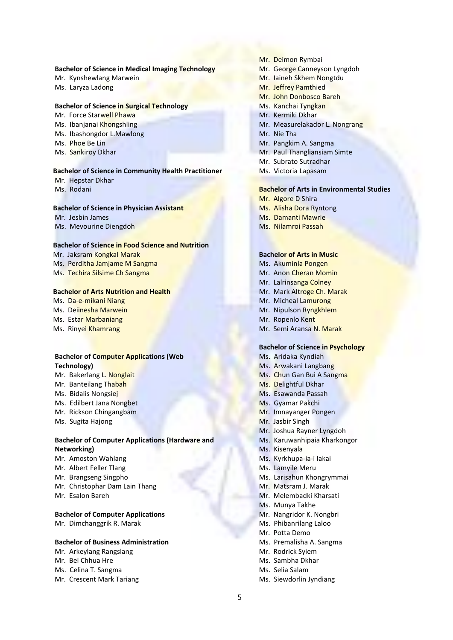#### **Bachelor of Science in Medical Imaging Technology**

- Mr. Kynshewlang Marwein Ms. Laryza Ladong
- 

# **Bachelor of Science in Surgical Technology**

- Mr. Force Starwell Phawa
- Ms. Ibanjanai Khongshling
- Ms. Ibashongdor L.Mawlong
- Ms. Phoe Be Lin
- Ms. Sankiroy Dkhar

# **Bachelor of Science in Community Health Practitioner**

- Mr. Hepstar Dkhar
- Ms. Rodani

#### **Bachelor of Science in Physician Assistant**

Mr. Jesbin James Ms. Mevourine Diengdoh

#### **Bachelor of Science in Food Science and Nutrition**

- Mr. Jaksram Kongkal Marak Ms. Perditha Jamjame M Sangma
- Ms. Techira Silsime Ch Sangma

# **Bachelor of Arts Nutrition and Health**

Ms. Da-e-mikani Niang Ms. Deiinesha Marwein Ms. Estar Marbaniang

Ms. Rinyei Khamrang

# **Bachelor of Computer Applications (Web Technology)**

- Mr. Bakerlang L. Nonglait
- Mr. Banteilang Thabah
- Ms. Bidalis Nongsiej
- Ms. Edilbert Jana Nongbet
- Mr. Rickson Chingangbam
- Ms. Sugita Hajong

# **Bachelor of Computer Applications (Hardware and Networking)**

- Mr. Amoston Wahlang
- Mr. Albert Feller Tlang
- Mr. Brangseng Singpho
- Mr. Christophar Dam Lain Thang
- Mr. Esalon Bareh

#### **Bachelor of Computer Applications**

Mr. Dimchanggrik R. Marak

# **Bachelor of Business Administration**

- Mr. Arkeylang Rangslang
- Mr. Bei Chhua Hre
- Ms. Celina T. Sangma
- Mr. Crescent Mark Tariang
- Mr. Deimon Rymbai
- Mr. George Canneyson Lyngdoh
- Mr. Iaineh Skhem Nongtdu
- Mr. Jeffrey Pamthied
- Mr. John Donbosco Bareh
- Ms. Kanchai Tyngkan
- Mr. Kermiki Dkhar
- Mr. Measurelakador L. Nongrang
- Mr. Nie Tha
- Mr. Pangkim A. Sangma
- Mr. Paul Thangliansiam Simte
- Mr. Subrato Sutradhar
- Ms. Victoria Lapasam

#### **Bachelor of Arts in Environmental Studies**

- Mr. Algore D Shira
- Ms. Alisha Dora Ryntong
- Ms. Damanti Mawrie
- Ms. Nilamroi Passah

# **Bachelor of Arts in Music**

- Ms. Akuminla Pongen
- Mr. Anon Cheran Momin
- Mr. Lalrinsanga Colney
- Mr. Mark Altroge Ch. Marak
- Mr. Micheal Lamurong
- Mr. Nipulson Ryngkhlem
- Mr. Ropenlo Kent
- Mr. Semi Aransa N. Marak

#### **Bachelor of Science in Psychology**

- Ms. Aridaka Kyndiah
- Ms. Arwakani Langbang
- Ms. Chun Gan Bui A Sangma
- Ms. Delightful Dkhar
- Ms. Esawanda Passah
- Ms. Gyamar Pakchi
- Mr. Imnayanger Pongen
- Mr. Jasbir Singh
- Mr. Joshua Rayner Lyngdoh
- Ms. Karuwanhipaia Kharkongor
- Ms. Kisenyala
- Ms. Kyrkhupa-ia-i Iakai
- Ms. Lamyile Meru
- Ms. Larisahun Khongrymmai
- Mr. Matsram J. Marak
- Mr. Melembadki Kharsati
- Ms. Munya Takhe
- Mr. Nangridor K. Nongbri
- Ms. Phibanrilang Laloo
- Mr. Potta Demo
- Ms. Premalisha A. Sangma
- Mr. Rodrick Syiem
- Ms. Sambha Dkhar
- Ms. Selia Salam

#### Ms. Siewdorlin Jyndiang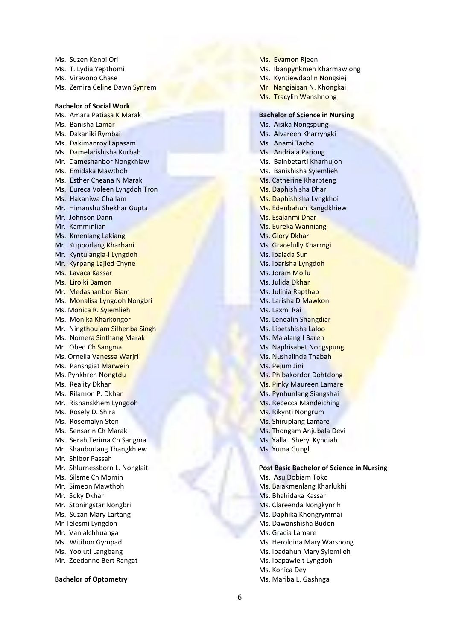Ms. Suzen Kenpi Ori Ms. T. Lydia Yepthomi Ms. Viravono Chase Ms. Zemira Celine Dawn Synrem **Bachelor of Social Work** Ms. Amara Patiasa K Marak Ms. Banisha Lamar Ms. Dakaniki Rymbai Ms. Dakimanroy Lapasam Ms. Damelarishisha Kurbah Mr. Dameshanbor Nongkhlaw Ms. Emidaka Mawthoh Ms. Esther Cheana N Marak Ms. Eureca Voleen Lyngdoh Tron Ms. Hakaniwa Challam Mr. Himanshu Shekhar Gupta Mr. Johnson Dann Mr. Kamminlian Ms. Kmenlang Lakiang Mr. Kupborlang Kharbani Mr. Kyntulangia-i Lyngdoh Mr. Kyrpang Lajied Chyne Ms. Lavaca Kassar Ms. Liroiki Bamon Mr. Medashanbor Biam Ms. Monalisa Lyngdoh Nongbri Ms. Monica R. Syiemlieh Ms. Monika Kharkongor Mr. Ningthoujam Silhenba Singh Ms. Nomera Sinthang Marak Mr. Obed Ch Sangma Ms. Ornella Vanessa Warjri Ms. Pansngiat Marwein Ms. Pynkhreh Nongtdu Ms. Reality Dkhar Ms. Rilamon P. Dkhar Mr. Rishanskhem Lyngdoh Ms. Rosely D. Shira Ms. Rosemalyn Sten Ms. Sensarin Ch Marak Ms. Serah Terima Ch Sangma Mr. Shanborlang Thangkhiew Mr. Shibor Passah Mr. Shlurnessborn L. Nonglait Ms. Silsme Ch Momin Mr. Simeon Mawthoh Mr. Soky Dkhar Mr. Stoningstar Nongbri Ms. Suzan Mary Lartang Mr Telesmi Lyngdoh Mr. Vanlalchhuanga Ms. Witibon Gympad Ms. Yooluti Langbang Mr. Zeedanne Bert Rangat

#### **Bachelor of Optometry**

Ms. Evamon Rjeen Ms. Ibanpynkmen Kharmawlong Ms. Kyntiewdaplin Nongsiej Mr. Nangiaisan N. Khongkai Ms. Tracylin Wanshnong **Bachelor of Science in Nursing** Ms. Aisika Nongspung Ms. Alvareen Kharryngki Ms. Anami Tacho Ms. Andriala Pariong Ms. Bainbetarti Kharhujon Ms. Banishisha Syiemlieh Ms. Catherine Kharbteng Ms. Daphishisha Dhar Ms. Daphishisha Lyngkhoi Ms. Edenbahun Rangdkhiew Ms. Esalanmi Dhar Ms. Eureka Wanniang Ms. Glory Dkhar Ms. Gracefully Kharrngi Ms. Ibaiada Sun Ms. Ibarisha Lyngdoh Ms. Joram Mollu Ms. Julida Dkhar Ms. Julinia Rapthap Ms. Larisha D Mawkon Ms. Laxmi Rai Ms. Lendalin Shangdiar Ms. Libetshisha Laloo Ms. Maialang I Bareh Ms. Naphisabet Nongspung Ms. Nushalinda Thabah Ms. Pejum Jini Ms. Phibakordor Dohtdong Ms. Pinky Maureen Lamare Ms. Pynhunlang Siangshai Ms. Rebecca Mandeiching Ms. Rikynti Nongrum Ms. Shiruplang Lamare Ms. Thongam Anjubala Devi Ms. Yalla I Sheryl Kyndiah Ms. Yuma Gungli

# **Post Basic Bachelor of Science in Nursing**

Ms. Asu Dobiam Toko Ms. Baiakmenlang Kharlukhi Ms. Bhahidaka Kassar Ms. Clareenda Nongkynrih Ms. Daphika Khongrymmai Ms. Dawanshisha Budon Ms. Gracia Lamare Ms. Heroldina Mary Warshong Ms. Ibadahun Mary Syiemlieh Ms. Ibapawieit Lyngdoh Ms. Konica Dey